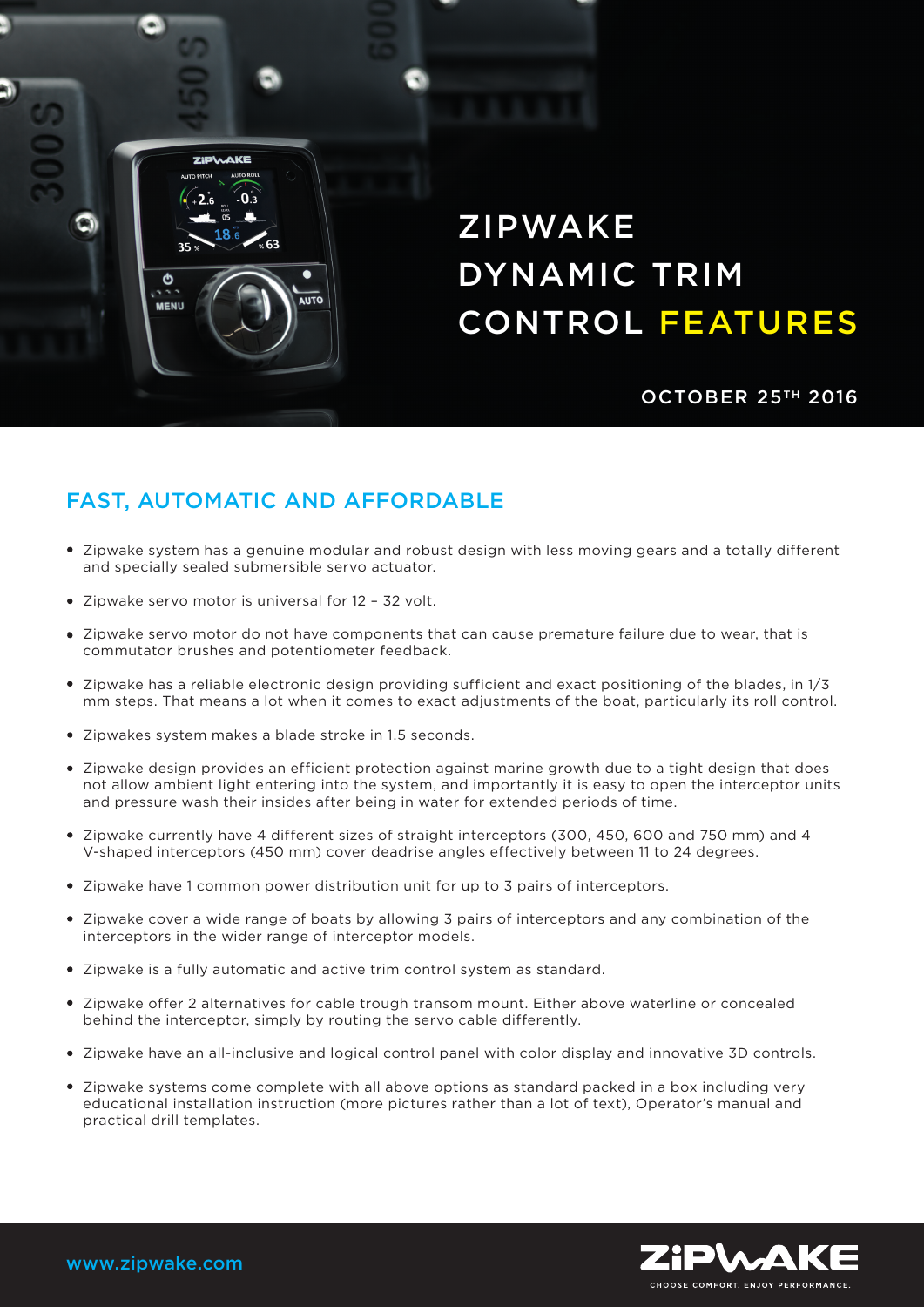## ZIPWAKE DYNAMIC TRIM CONTROL FEATURES

**OCTOBER 25TH 2016** 

## FAST, AUTOMATIC AND AFFORDABLE

**AUTO** 

- Zipwake system has a genuine modular and robust design with less moving gears and a totally different and specially sealed submersible servo actuator.
- Zipwake servo motor is universal for 12 32 volt.

**ZIDIAAKE** 

O

**MENU** 

 $\hat{.0,3}$ 

- Zipwake servo motor do not have components that can cause premature failure due to wear, that is commutator brushes and potentiometer feedback.
- Zipwake has a reliable electronic design providing sufficient and exact positioning of the blades, in 1/3 mm steps. That means a lot when it comes to exact adjustments of the boat, particularly its roll control.
- Zipwakes system makes a blade stroke in 1.5 seconds.
- Zipwake design provides an efficient protection against marine growth due to a tight design that does not allow ambient light entering into the system, and importantly it is easy to open the interceptor units and pressure wash their insides after being in water for extended periods of time.
- Zipwake currently have 4 different sizes of straight interceptors (300, 450, 600 and 750 mm) and 4 V-shaped interceptors (450 mm) cover deadrise angles effectively between 11 to 24 degrees.
- Zipwake have 1 common power distribution unit for up to 3 pairs of interceptors.
- Zipwake cover a wide range of boats by allowing 3 pairs of interceptors and any combination of the interceptors in the wider range of interceptor models.
- Zipwake is a fully automatic and active trim control system as standard.
- Zipwake offer 2 alternatives for cable trough transom mount. Either above waterline or concealed behind the interceptor, simply by routing the servo cable differently.
- Zipwake have an all-inclusive and logical control panel with color display and innovative 3D controls.
- Zipwake systems come complete with all above options as standard packed in a box including very educational installation instruction (more pictures rather than a lot of text), Operator's manual and practical drill templates.



www.zipwake.com